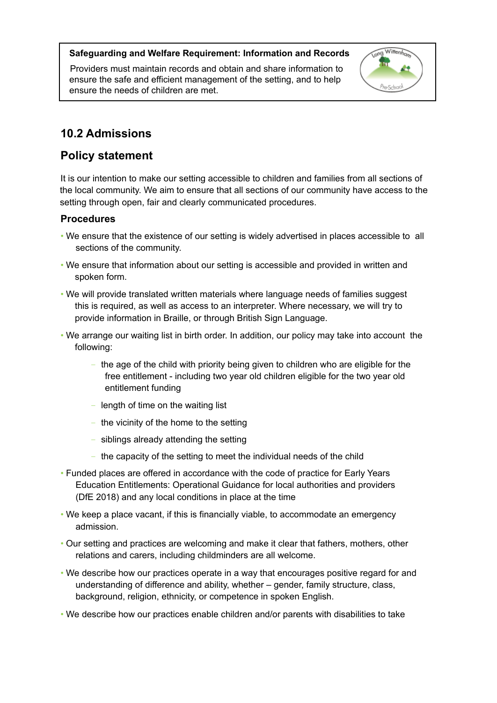### **Safeguarding and Welfare Requirement: Information and Records**

Providers must maintain records and obtain and share information to ensure the safe and efficient management of the setting, and to help ensure the needs of children are met.



# **10.2 Admissions**

# **Policy statement**

It is our intention to make our setting accessible to children and families from all sections of the local community. We aim to ensure that all sections of our community have access to the setting through open, fair and clearly communicated procedures.

## **Procedures**

- We ensure that the existence of our setting is widely advertised in places accessible to all sections of the community.
- We ensure that information about our setting is accessible and provided in written and spoken form.
- We will provide translated written materials where language needs of families suggest this is required, as well as access to an interpreter. Where necessary, we will try to provide information in Braille, or through British Sign Language.
- We arrange our waiting list in birth order. In addition, our policy may take into account the following:
	- the age of the child with priority being given to children who are eligible for the free entitlement - including two year old children eligible for the two year old entitlement funding
	- length of time on the waiting list
	- the vicinity of the home to the setting
	- siblings already attending the setting
	- the capacity of the setting to meet the individual needs of the child
- Funded places are offered in accordance with the code of practice for Early Years Education Entitlements: Operational Guidance for local authorities and providers (DfE 2018) and any local conditions in place at the time
- We keep a place vacant, if this is financially viable, to accommodate an emergency admission.
- Our setting and practices are welcoming and make it clear that fathers, mothers, other relations and carers, including childminders are all welcome.
- We describe how our practices operate in a way that encourages positive regard for and understanding of difference and ability, whether – gender, family structure, class, background, religion, ethnicity, or competence in spoken English.
- We describe how our practices enable children and/or parents with disabilities to take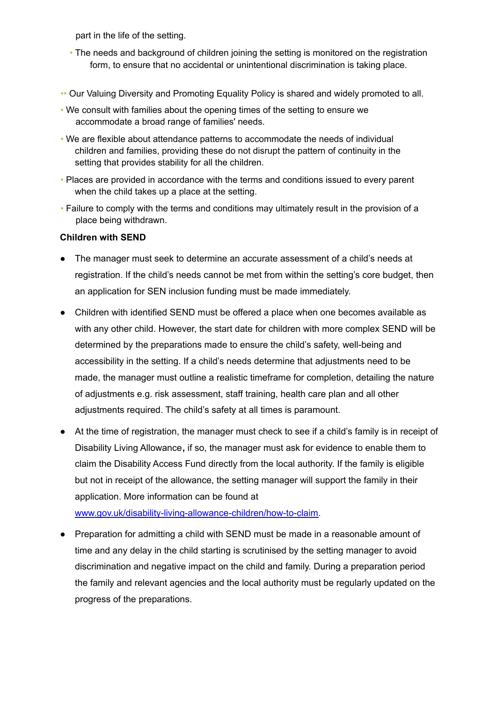part in the life of the setting.

- The needs and background of children joining the setting is monitored on the registration form, to ensure that no accidental or unintentional discrimination is taking place.
- •• Our Valuing Diversity and Promoting Equality Policy is shared and widely promoted to all.
- We consult with families about the opening times of the setting to ensure we accommodate a broad range of families' needs.
- We are flexible about attendance patterns to accommodate the needs of individual children and families, providing these do not disrupt the pattern of continuity in the setting that provides stability for all the children.
- Places are provided in accordance with the terms and conditions issued to every parent when the child takes up a place at the setting.
- Failure to comply with the terms and conditions may ultimately result in the provision of a place being withdrawn.

#### **Children with SEND**

- The manager must seek to determine an accurate assessment of a child's needs at registration. If the child's needs cannot be met from within the setting's core budget, then an application for SEN inclusion funding must be made immediately.
- Children with identified SEND must be offered a place when one becomes available as with any other child. However, the start date for children with more complex SEND will be determined by the preparations made to ensure the child's safety, well-being and accessibility in the setting. If a child's needs determine that adjustments need to be made, the manager must outline a realistic timeframe for completion, detailing the nature of adjustments e.g. risk assessment, staff training, health care plan and all other adjustments required. The child's safety at all times is paramount.
- At the time of registration, the manager must check to see if a child's family is in receipt of Disability Living Allowance**,** if so, the manager must ask for evidence to enable them to claim the Disability Access Fund directly from the local authority. If the family is eligible but not in receipt of the allowance, the setting manager will support the family in their application. More information can be found at

[www.gov.uk/disability-living-allowance-children/how-to-claim.](http://www.gov.uk/disability-living-allowance-children/how-to-claim)

**●** Preparation for admitting a child with SEND must be made in a reasonable amount of time and any delay in the child starting is scrutinised by the setting manager to avoid discrimination and negative impact on the child and family. During a preparation period the family and relevant agencies and the local authority must be regularly updated on the progress of the preparations.